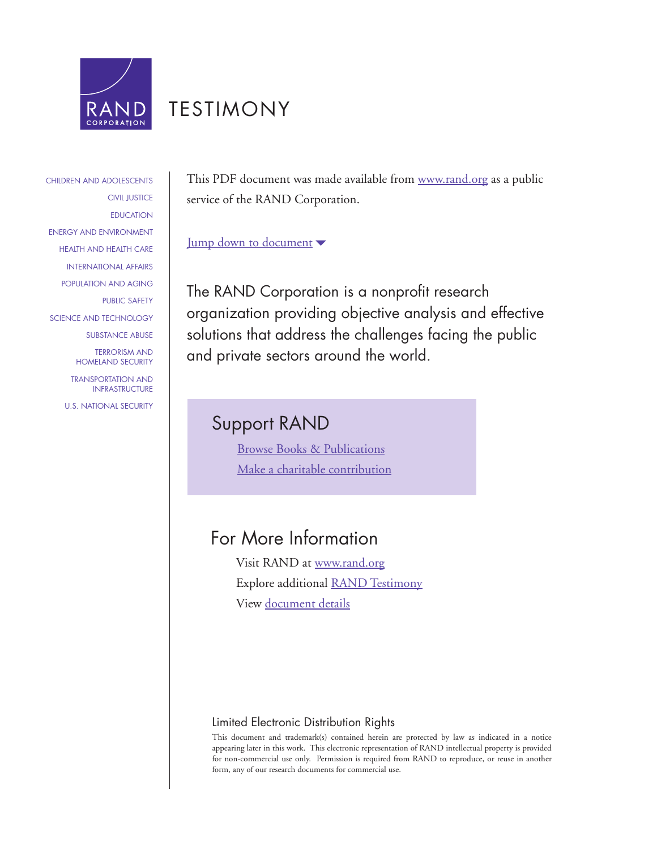

# [TESTIMONY](http://www.rand.org/pdfrd/congress/testimony.html)

## [CHILDREN AND ADOLESCENTS](http://www.rand.org/pdfrd/research_areas/children/) [CIVIL JUSTICE](http://www.rand.org/pdfrd/research_areas/civil_justice/) [EDUCATION](http://www.rand.org/pdfrd/research_areas/education/) [ENERGY AND ENVIRONMENT](http://www.rand.org/pdfrd/research_areas/energy_environment/) [HEALTH AND HEALTH CARE](http://www.rand.org/pdfrd/research_areas/health/) [INTERNATIONAL AFFAIRS](http://www.rand.org/pdfrd/research_areas/international_affairs/) [POPULATION AND AGING](http://www.rand.org/pdfrd/research_areas/population/) [PUBLIC SAFETY](http://www.rand.org/pdfrd/research_areas/public_safety/) [SCIENCE AND TECHNOLOGY](http://www.rand.org/pdfrd/research_areas/science_technology/) [SUBSTANCE ABUSE](http://www.rand.org/pdfrd/research_areas/substance_abuse/) [TERRORISM AND](http://www.rand.org/pdfrd/research_areas/terrorism/)  [HOMELAND SECURITY](http://www.rand.org/pdfrd/research_areas/terrorism/) [TRANSPORTATION AND](http://www.rand.org/pdfrd/research_areas/infrastructure/)

[INFRASTRUCTURE](http://www.rand.org/pdfrd/research_areas/infrastructure/) [U.S. NATIONAL SECURITY](http://www.rand.org/pdfrd/research_areas/national_security/) This PDF document was made available from [www.rand.org](http://www.rand.org/pdfrd/) as a public service of the RAND Corporation.

### [Jump down to document](#page-1-0)

The RAND Corporation is a nonprofit research organization providing objective analysis and effective solutions that address the challenges facing the public and private sectors around the world.

# Support RAND

[Browse Books & Publications](http://www.rand.org/pdfrd/publications/electronic/) [Make a charitable contribution](http://www.rand.org/pdfrd/giving/contribute.html)

# For More Information

Visit RAND at [www.rand.org](http://www.rand.org/pdfrd/) Explore additional [RAND Testimony](http://www.rand.org/pdfrd/congress/testimony.html) View [document details](http://www.rand.org/pdfrd/publications/CT/CT222/)

## Limited Electronic Distribution Rights

This document and trademark(s) contained herein are protected by law as indicated in a notice appearing later in this work. This electronic representation of RAND intellectual property is provided for non-commercial use only. Permission is required from RAND to reproduce, or reuse in another form, any of our research documents for commercial use.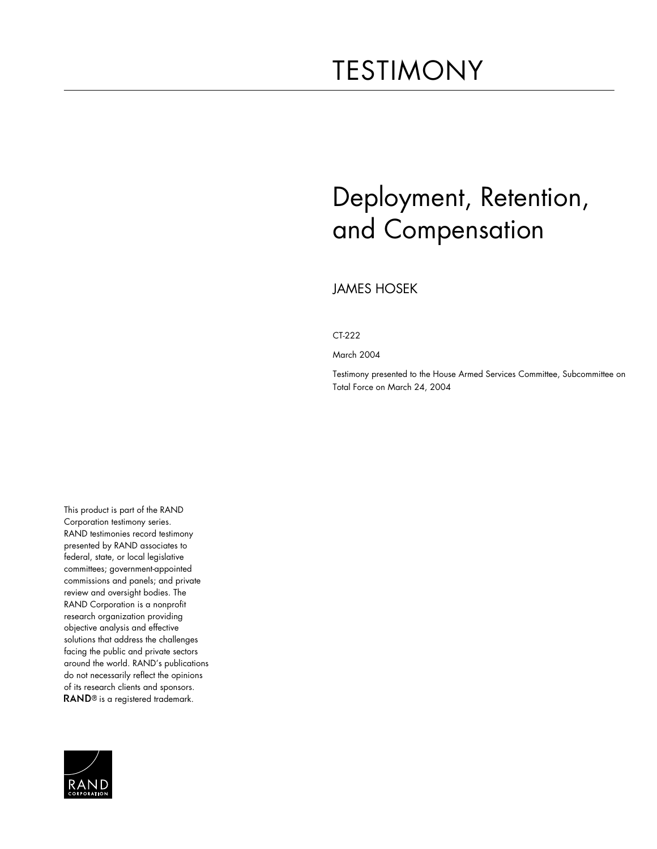# <span id="page-1-0"></span>TESTIMONY

# Deployment, Retention, and Compensation

JAMES HOSEK

CT-222

March 2004

Testimony presented to the House Armed Services Committee, Subcommittee on Total Force on March 24, 2004

This product is part of the RAND Corporation testimony series. RAND testimonies record testimony presented by RAND associates to federal, state, or local legislative committees; government-appointed commissions and panels; and private review and oversight bodies. The RAND Corporation is a nonprofit research organization providing objective analysis and effective solutions that address the challenges facing the public and private sectors around the world. RAND's publications do not necessarily reflect the opinions of its research clients and sponsors. RAND<sup>®</sup> is a registered trademark.

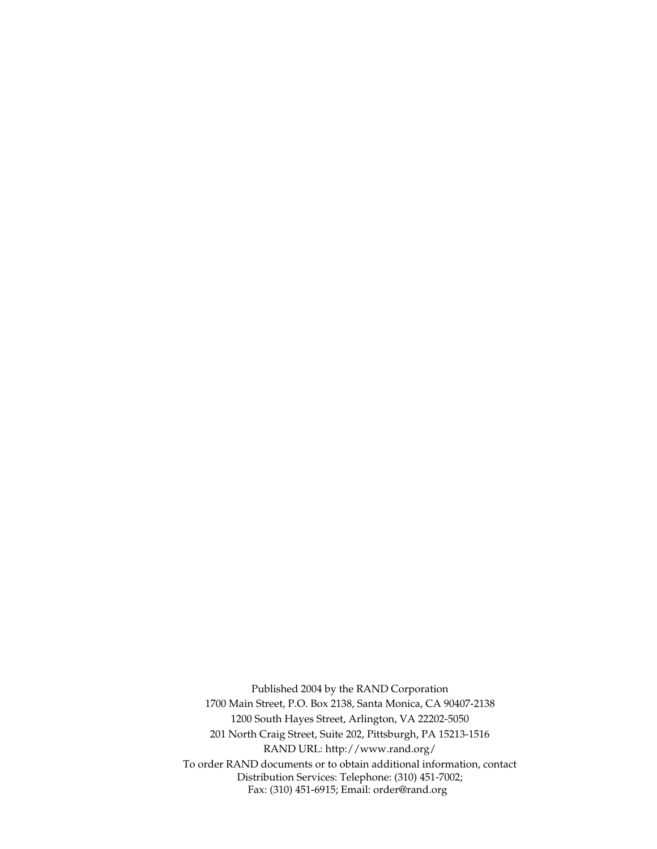Published 2004 by the RAND Corporation 1700 Main Street, P.O. Box 2138, Santa Monica, CA 90407-2138 1200 South Hayes Street, Arlington, VA 22202-5050 201 North Craig Street, Suite 202, Pittsburgh, PA 15213-1516 RAND URL: http://www.rand.org/ To order RAND documents or to obtain additional information, contact Distribution Services: Telephone: (310) 451-7002; Fax: (310) 451-6915; Email: order@rand.org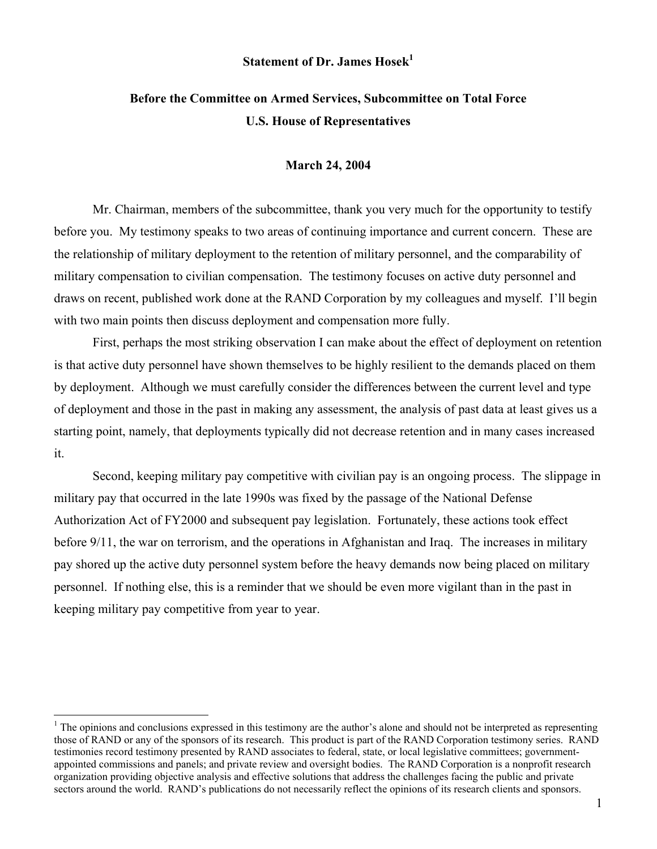#### **Statement of Dr. James Hosek<sup>1</sup>**

# **Before the Committee on Armed Services, Subcommittee on Total Force U.S. House of Representatives**

#### **March 24, 2004**

Mr. Chairman, members of the subcommittee, thank you very much for the opportunity to testify before you. My testimony speaks to two areas of continuing importance and current concern. These are the relationship of military deployment to the retention of military personnel, and the comparability of military compensation to civilian compensation. The testimony focuses on active duty personnel and draws on recent, published work done at the RAND Corporation by my colleagues and myself. I'll begin with two main points then discuss deployment and compensation more fully.

First, perhaps the most striking observation I can make about the effect of deployment on retention is that active duty personnel have shown themselves to be highly resilient to the demands placed on them by deployment. Although we must carefully consider the differences between the current level and type of deployment and those in the past in making any assessment, the analysis of past data at least gives us a starting point, namely, that deployments typically did not decrease retention and in many cases increased it.

Second, keeping military pay competitive with civilian pay is an ongoing process. The slippage in military pay that occurred in the late 1990s was fixed by the passage of the National Defense Authorization Act of FY2000 and subsequent pay legislation. Fortunately, these actions took effect before 9/11, the war on terrorism, and the operations in Afghanistan and Iraq. The increases in military pay shored up the active duty personnel system before the heavy demands now being placed on military personnel. If nothing else, this is a reminder that we should be even more vigilant than in the past in keeping military pay competitive from year to year.

 $\overline{a}$ 

 $<sup>1</sup>$  The opinions and conclusions expressed in this testimony are the author's alone and should not be interpreted as representing</sup> those of RAND or any of the sponsors of its research. This product is part of the RAND Corporation testimony series. RAND testimonies record testimony presented by RAND associates to federal, state, or local legislative committees; governmentappointed commissions and panels; and private review and oversight bodies. The RAND Corporation is a nonprofit research organization providing objective analysis and effective solutions that address the challenges facing the public and private sectors around the world. RAND's publications do not necessarily reflect the opinions of its research clients and sponsors.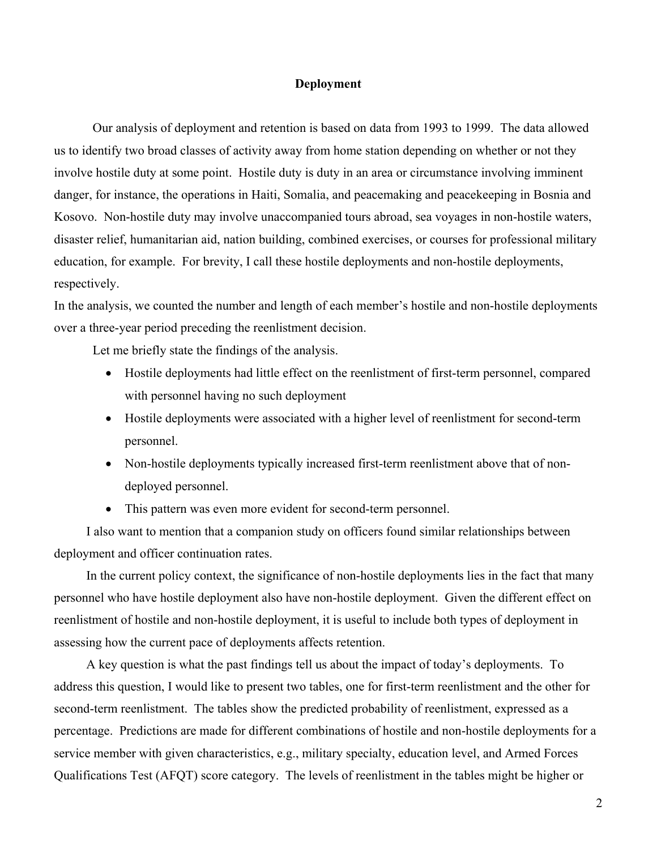#### **Deployment**

Our analysis of deployment and retention is based on data from 1993 to 1999. The data allowed us to identify two broad classes of activity away from home station depending on whether or not they involve hostile duty at some point. Hostile duty is duty in an area or circumstance involving imminent danger, for instance, the operations in Haiti, Somalia, and peacemaking and peacekeeping in Bosnia and Kosovo. Non-hostile duty may involve unaccompanied tours abroad, sea voyages in non-hostile waters, disaster relief, humanitarian aid, nation building, combined exercises, or courses for professional military education, for example. For brevity, I call these hostile deployments and non-hostile deployments, respectively.

In the analysis, we counted the number and length of each member's hostile and non-hostile deployments over a three-year period preceding the reenlistment decision.

Let me briefly state the findings of the analysis.

- Hostile deployments had little effect on the reenlistment of first-term personnel, compared with personnel having no such deployment
- Hostile deployments were associated with a higher level of reenlistment for second-term personnel.
- Non-hostile deployments typically increased first-term reenlistment above that of nondeployed personnel.
- This pattern was even more evident for second-term personnel.

I also want to mention that a companion study on officers found similar relationships between deployment and officer continuation rates.

In the current policy context, the significance of non-hostile deployments lies in the fact that many personnel who have hostile deployment also have non-hostile deployment. Given the different effect on reenlistment of hostile and non-hostile deployment, it is useful to include both types of deployment in assessing how the current pace of deployments affects retention.

A key question is what the past findings tell us about the impact of today's deployments. To address this question, I would like to present two tables, one for first-term reenlistment and the other for second-term reenlistment. The tables show the predicted probability of reenlistment, expressed as a percentage. Predictions are made for different combinations of hostile and non-hostile deployments for a service member with given characteristics, e.g., military specialty, education level, and Armed Forces Qualifications Test (AFQT) score category. The levels of reenlistment in the tables might be higher or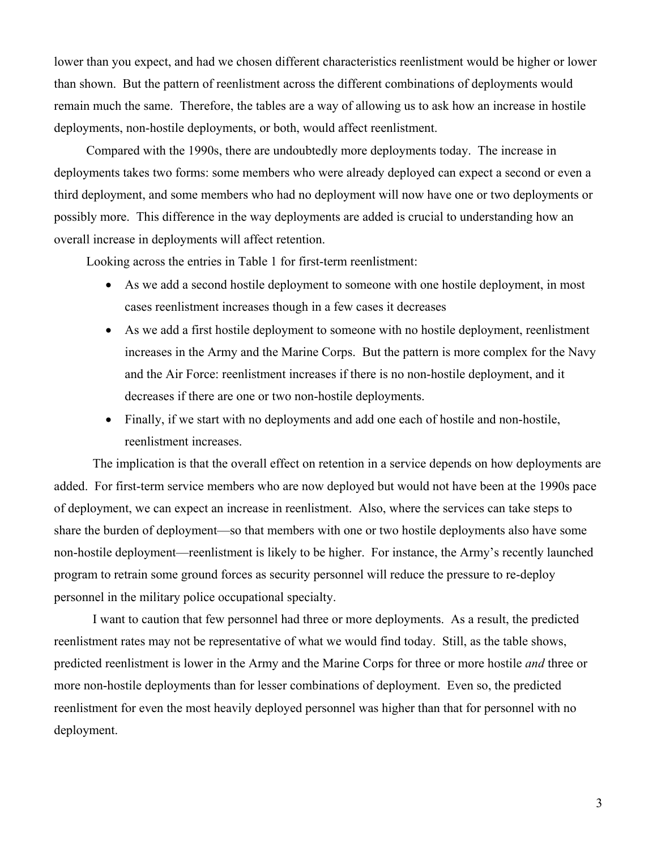lower than you expect, and had we chosen different characteristics reenlistment would be higher or lower than shown. But the pattern of reenlistment across the different combinations of deployments would remain much the same. Therefore, the tables are a way of allowing us to ask how an increase in hostile deployments, non-hostile deployments, or both, would affect reenlistment.

Compared with the 1990s, there are undoubtedly more deployments today. The increase in deployments takes two forms: some members who were already deployed can expect a second or even a third deployment, and some members who had no deployment will now have one or two deployments or possibly more. This difference in the way deployments are added is crucial to understanding how an overall increase in deployments will affect retention.

Looking across the entries in Table 1 for first-term reenlistment:

- As we add a second hostile deployment to someone with one hostile deployment, in most cases reenlistment increases though in a few cases it decreases
- As we add a first hostile deployment to someone with no hostile deployment, reenlistment increases in the Army and the Marine Corps. But the pattern is more complex for the Navy and the Air Force: reenlistment increases if there is no non-hostile deployment, and it decreases if there are one or two non-hostile deployments.
- Finally, if we start with no deployments and add one each of hostile and non-hostile, reenlistment increases.

The implication is that the overall effect on retention in a service depends on how deployments are added. For first-term service members who are now deployed but would not have been at the 1990s pace of deployment, we can expect an increase in reenlistment. Also, where the services can take steps to share the burden of deployment—so that members with one or two hostile deployments also have some non-hostile deployment—reenlistment is likely to be higher. For instance, the Army's recently launched program to retrain some ground forces as security personnel will reduce the pressure to re-deploy personnel in the military police occupational specialty.

I want to caution that few personnel had three or more deployments. As a result, the predicted reenlistment rates may not be representative of what we would find today. Still, as the table shows, predicted reenlistment is lower in the Army and the Marine Corps for three or more hostile *and* three or more non-hostile deployments than for lesser combinations of deployment. Even so, the predicted reenlistment for even the most heavily deployed personnel was higher than that for personnel with no deployment.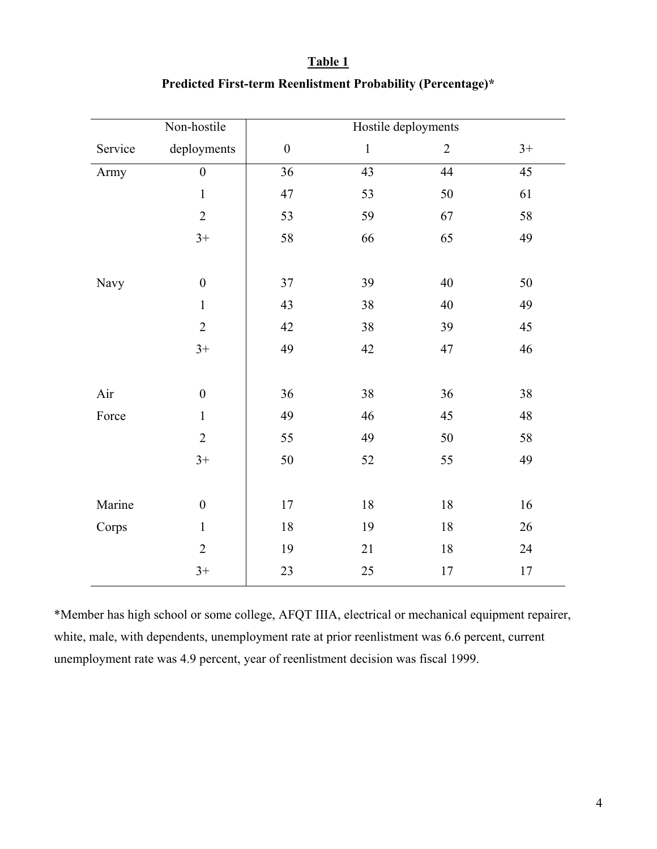|         | Non-hostile      | Hostile deployments |                 |                |        |  |
|---------|------------------|---------------------|-----------------|----------------|--------|--|
| Service | deployments      | $\boldsymbol{0}$    | $\mathbf{1}$    | $\overline{2}$ | $3+$   |  |
| Army    | $\boldsymbol{0}$ | $\overline{36}$     | $\overline{43}$ | 44             | 45     |  |
|         | $\mathbf{1}$     | 47                  | 53              | 50             | 61     |  |
|         | $\overline{2}$   | 53                  | 59              | 67             | 58     |  |
|         | $3+$             | 58                  | 66              | 65             | 49     |  |
|         |                  |                     |                 |                |        |  |
| Navy    | $\boldsymbol{0}$ | 37                  | 39              | 40             | 50     |  |
|         | $\mathbf{1}$     | 43                  | 38              | 40             | 49     |  |
|         | $\overline{2}$   | 42                  | 38              | 39             | 45     |  |
|         | $3+$             | 49                  | 42              | 47             | 46     |  |
|         |                  |                     |                 |                |        |  |
| Air     | $\boldsymbol{0}$ | 36                  | 38              | 36             | 38     |  |
| Force   | $\mathbf{1}$     | 49                  | 46              | 45             | 48     |  |
|         | $\overline{2}$   | 55                  | 49              | 50             | 58     |  |
|         | $3+$             | 50                  | 52              | 55             | 49     |  |
|         |                  |                     |                 |                |        |  |
| Marine  | $\boldsymbol{0}$ | $17\,$              | $18\,$          | 18             | 16     |  |
| Corps   | $\mathbf{1}$     | $18\,$              | 19              | 18             | 26     |  |
|         | $\overline{2}$   | 19                  | 21              | 18             | 24     |  |
|         | $3+$             | 23                  | 25              | 17             | $17\,$ |  |

# **Table 1 Predicted First-term Reenlistment Probability (Percentage)\***

\*Member has high school or some college, AFQT IIIA, electrical or mechanical equipment repairer, white, male, with dependents, unemployment rate at prior reenlistment was 6.6 percent, current unemployment rate was 4.9 percent, year of reenlistment decision was fiscal 1999.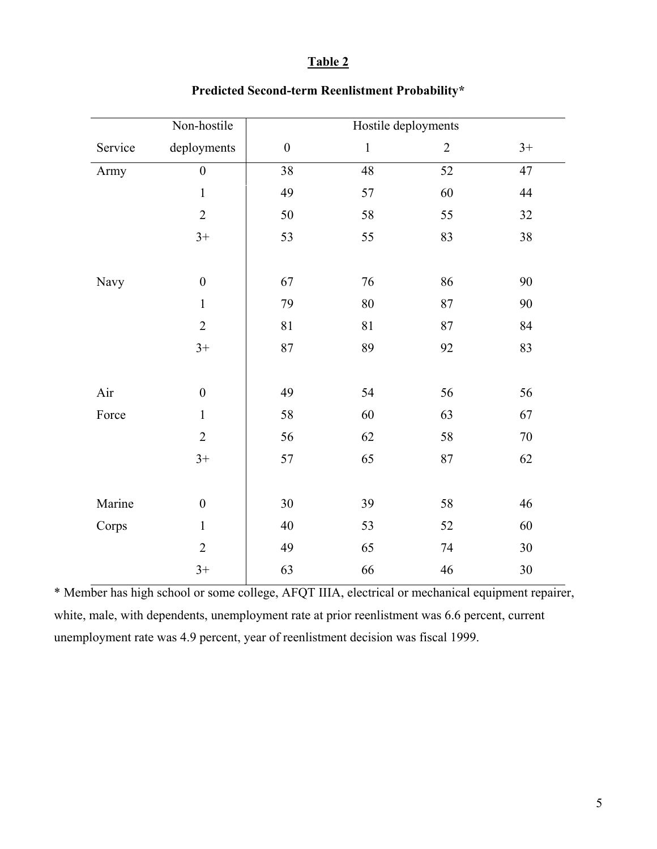### **Table 2**

|         | Non-hostile      | Hostile deployments |               |                 |        |  |
|---------|------------------|---------------------|---------------|-----------------|--------|--|
| Service | deployments      | $\boldsymbol{0}$    | $\mathbbm{1}$ | $\overline{2}$  | $3+$   |  |
| Army    | $\mathbf{0}$     | 38                  | 48            | $\overline{52}$ | 47     |  |
|         | $\mathbf{1}$     | 49                  | 57            | 60              | 44     |  |
|         | $\overline{2}$   | 50                  | 58            | 55              | 32     |  |
|         | $3+$             | 53                  | 55            | 83              | 38     |  |
|         |                  |                     |               |                 |        |  |
| Navy    | $\boldsymbol{0}$ | 67                  | 76            | 86              | 90     |  |
|         | $\mathbf{1}$     | 79                  | $80\,$        | 87              | 90     |  |
|         | $\overline{2}$   | 81                  | 81            | 87              | 84     |  |
|         | $3+$             | 87                  | 89            | 92              | 83     |  |
|         |                  |                     |               |                 |        |  |
| Air     | $\boldsymbol{0}$ | 49                  | 54            | 56              | 56     |  |
| Force   | $\mathbf{1}$     | 58                  | 60            | 63              | 67     |  |
|         | $\overline{2}$   | 56                  | 62            | 58              | $70\,$ |  |
|         | $3+$             | 57                  | 65            | 87              | 62     |  |
|         |                  |                     |               |                 |        |  |
| Marine  | $\boldsymbol{0}$ | 30                  | 39            | 58              | 46     |  |
| Corps   | $\mathbf{1}$     | 40                  | 53            | 52              | 60     |  |
|         | $\overline{2}$   | 49                  | 65            | 74              | 30     |  |
|         | $3+$             | 63                  | 66            | 46              | $30\,$ |  |

## **Predicted Second-term Reenlistment Probability\***

\* Member has high school or some college, AFQT IIIA, electrical or mechanical equipment repairer, white, male, with dependents, unemployment rate at prior reenlistment was 6.6 percent, current unemployment rate was 4.9 percent, year of reenlistment decision was fiscal 1999.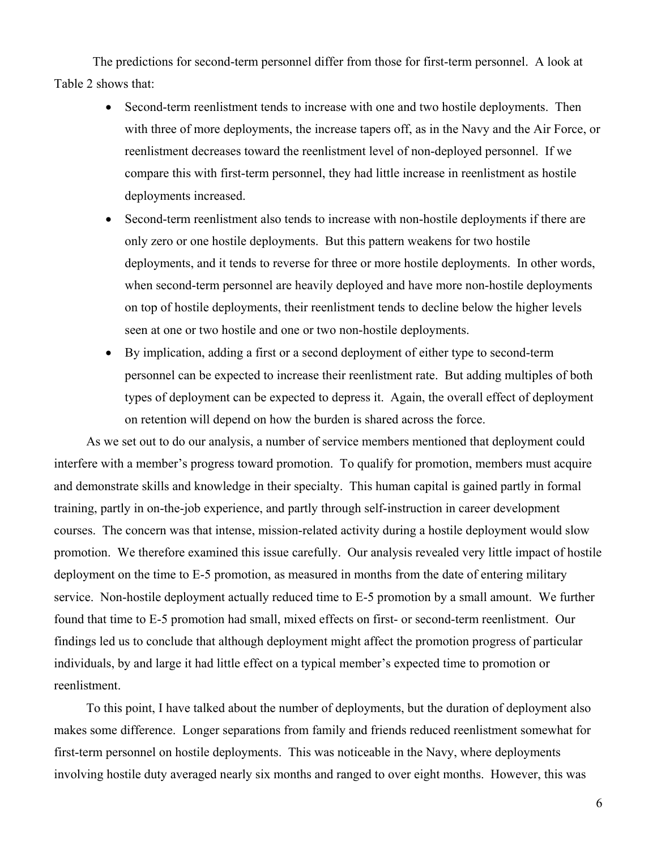The predictions for second-term personnel differ from those for first-term personnel. A look at Table 2 shows that:

- Second-term reenlistment tends to increase with one and two hostile deployments. Then with three of more deployments, the increase tapers off, as in the Navy and the Air Force, or reenlistment decreases toward the reenlistment level of non-deployed personnel. If we compare this with first-term personnel, they had little increase in reenlistment as hostile deployments increased.
- Second-term reenlistment also tends to increase with non-hostile deployments if there are only zero or one hostile deployments. But this pattern weakens for two hostile deployments, and it tends to reverse for three or more hostile deployments. In other words, when second-term personnel are heavily deployed and have more non-hostile deployments on top of hostile deployments, their reenlistment tends to decline below the higher levels seen at one or two hostile and one or two non-hostile deployments.
- By implication, adding a first or a second deployment of either type to second-term personnel can be expected to increase their reenlistment rate. But adding multiples of both types of deployment can be expected to depress it. Again, the overall effect of deployment on retention will depend on how the burden is shared across the force.

As we set out to do our analysis, a number of service members mentioned that deployment could interfere with a member's progress toward promotion. To qualify for promotion, members must acquire and demonstrate skills and knowledge in their specialty. This human capital is gained partly in formal training, partly in on-the-job experience, and partly through self-instruction in career development courses. The concern was that intense, mission-related activity during a hostile deployment would slow promotion. We therefore examined this issue carefully. Our analysis revealed very little impact of hostile deployment on the time to E-5 promotion, as measured in months from the date of entering military service. Non-hostile deployment actually reduced time to E-5 promotion by a small amount. We further found that time to E-5 promotion had small, mixed effects on first- or second-term reenlistment. Our findings led us to conclude that although deployment might affect the promotion progress of particular individuals, by and large it had little effect on a typical member's expected time to promotion or reenlistment.

To this point, I have talked about the number of deployments, but the duration of deployment also makes some difference. Longer separations from family and friends reduced reenlistment somewhat for first-term personnel on hostile deployments. This was noticeable in the Navy, where deployments involving hostile duty averaged nearly six months and ranged to over eight months. However, this was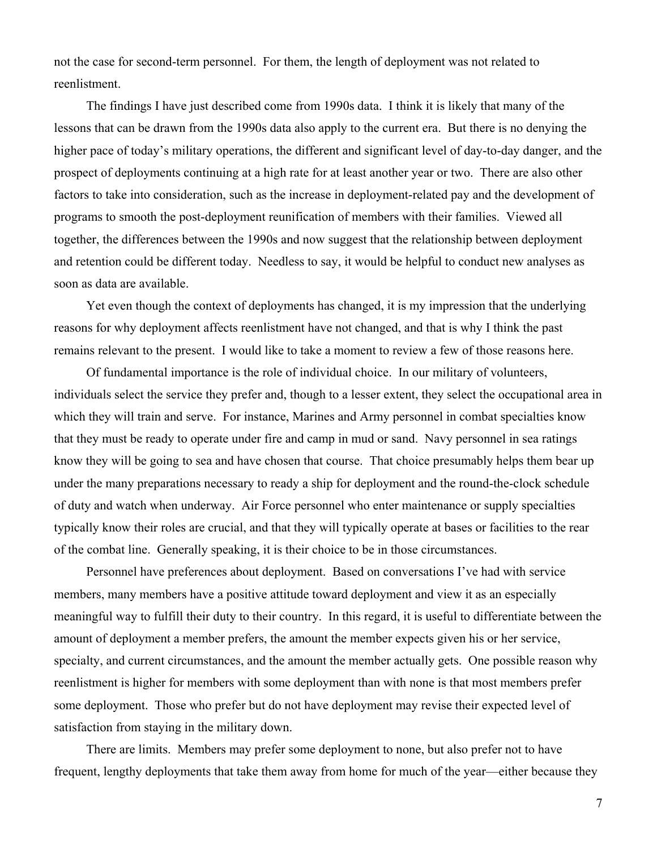not the case for second-term personnel. For them, the length of deployment was not related to reenlistment.

The findings I have just described come from 1990s data. I think it is likely that many of the lessons that can be drawn from the 1990s data also apply to the current era. But there is no denying the higher pace of today's military operations, the different and significant level of day-to-day danger, and the prospect of deployments continuing at a high rate for at least another year or two. There are also other factors to take into consideration, such as the increase in deployment-related pay and the development of programs to smooth the post-deployment reunification of members with their families. Viewed all together, the differences between the 1990s and now suggest that the relationship between deployment and retention could be different today. Needless to say, it would be helpful to conduct new analyses as soon as data are available.

Yet even though the context of deployments has changed, it is my impression that the underlying reasons for why deployment affects reenlistment have not changed, and that is why I think the past remains relevant to the present. I would like to take a moment to review a few of those reasons here.

Of fundamental importance is the role of individual choice. In our military of volunteers, individuals select the service they prefer and, though to a lesser extent, they select the occupational area in which they will train and serve. For instance, Marines and Army personnel in combat specialties know that they must be ready to operate under fire and camp in mud or sand. Navy personnel in sea ratings know they will be going to sea and have chosen that course. That choice presumably helps them bear up under the many preparations necessary to ready a ship for deployment and the round-the-clock schedule of duty and watch when underway. Air Force personnel who enter maintenance or supply specialties typically know their roles are crucial, and that they will typically operate at bases or facilities to the rear of the combat line. Generally speaking, it is their choice to be in those circumstances.

Personnel have preferences about deployment. Based on conversations I've had with service members, many members have a positive attitude toward deployment and view it as an especially meaningful way to fulfill their duty to their country. In this regard, it is useful to differentiate between the amount of deployment a member prefers, the amount the member expects given his or her service, specialty, and current circumstances, and the amount the member actually gets. One possible reason why reenlistment is higher for members with some deployment than with none is that most members prefer some deployment. Those who prefer but do not have deployment may revise their expected level of satisfaction from staying in the military down.

There are limits. Members may prefer some deployment to none, but also prefer not to have frequent, lengthy deployments that take them away from home for much of the year—either because they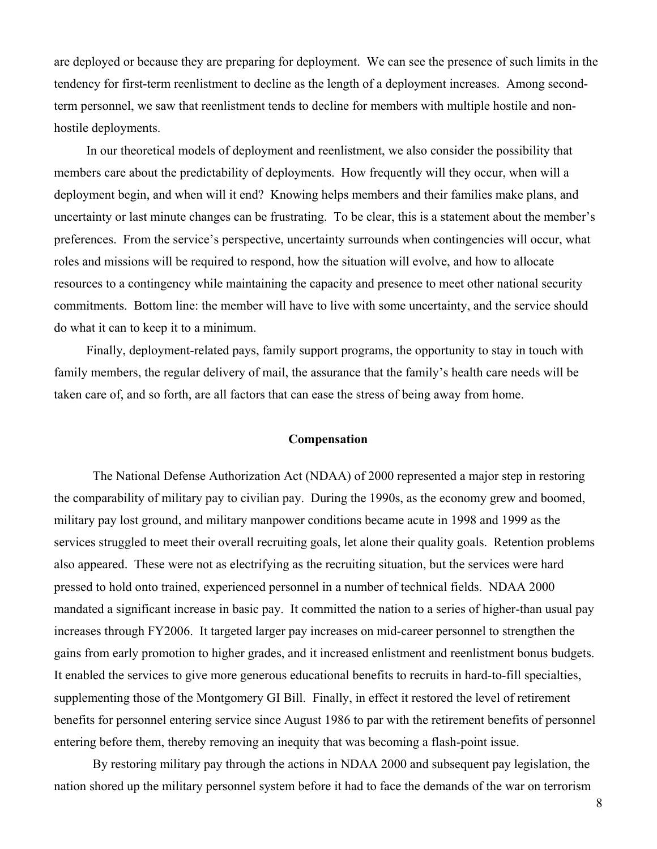are deployed or because they are preparing for deployment. We can see the presence of such limits in the tendency for first-term reenlistment to decline as the length of a deployment increases. Among secondterm personnel, we saw that reenlistment tends to decline for members with multiple hostile and nonhostile deployments.

In our theoretical models of deployment and reenlistment, we also consider the possibility that members care about the predictability of deployments. How frequently will they occur, when will a deployment begin, and when will it end? Knowing helps members and their families make plans, and uncertainty or last minute changes can be frustrating. To be clear, this is a statement about the member's preferences. From the service's perspective, uncertainty surrounds when contingencies will occur, what roles and missions will be required to respond, how the situation will evolve, and how to allocate resources to a contingency while maintaining the capacity and presence to meet other national security commitments. Bottom line: the member will have to live with some uncertainty, and the service should do what it can to keep it to a minimum.

Finally, deployment-related pays, family support programs, the opportunity to stay in touch with family members, the regular delivery of mail, the assurance that the family's health care needs will be taken care of, and so forth, are all factors that can ease the stress of being away from home.

#### **Compensation**

The National Defense Authorization Act (NDAA) of 2000 represented a major step in restoring the comparability of military pay to civilian pay. During the 1990s, as the economy grew and boomed, military pay lost ground, and military manpower conditions became acute in 1998 and 1999 as the services struggled to meet their overall recruiting goals, let alone their quality goals. Retention problems also appeared. These were not as electrifying as the recruiting situation, but the services were hard pressed to hold onto trained, experienced personnel in a number of technical fields. NDAA 2000 mandated a significant increase in basic pay. It committed the nation to a series of higher-than usual pay increases through FY2006. It targeted larger pay increases on mid-career personnel to strengthen the gains from early promotion to higher grades, and it increased enlistment and reenlistment bonus budgets. It enabled the services to give more generous educational benefits to recruits in hard-to-fill specialties, supplementing those of the Montgomery GI Bill. Finally, in effect it restored the level of retirement benefits for personnel entering service since August 1986 to par with the retirement benefits of personnel entering before them, thereby removing an inequity that was becoming a flash-point issue.

By restoring military pay through the actions in NDAA 2000 and subsequent pay legislation, the nation shored up the military personnel system before it had to face the demands of the war on terrorism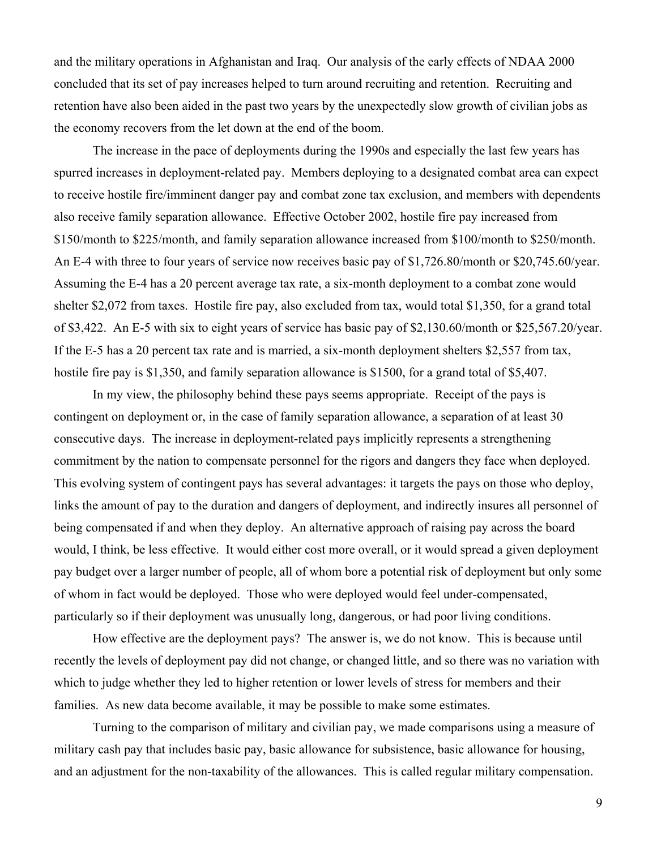and the military operations in Afghanistan and Iraq. Our analysis of the early effects of NDAA 2000 concluded that its set of pay increases helped to turn around recruiting and retention. Recruiting and retention have also been aided in the past two years by the unexpectedly slow growth of civilian jobs as the economy recovers from the let down at the end of the boom.

The increase in the pace of deployments during the 1990s and especially the last few years has spurred increases in deployment-related pay. Members deploying to a designated combat area can expect to receive hostile fire/imminent danger pay and combat zone tax exclusion, and members with dependents also receive family separation allowance. Effective October 2002, hostile fire pay increased from \$150/month to \$225/month, and family separation allowance increased from \$100/month to \$250/month. An E-4 with three to four years of service now receives basic pay of \$1,726.80/month or \$20,745.60/year. Assuming the E-4 has a 20 percent average tax rate, a six-month deployment to a combat zone would shelter \$2,072 from taxes. Hostile fire pay, also excluded from tax, would total \$1,350, for a grand total of \$3,422. An E-5 with six to eight years of service has basic pay of \$2,130.60/month or \$25,567.20/year. If the E-5 has a 20 percent tax rate and is married, a six-month deployment shelters \$2,557 from tax, hostile fire pay is \$1,350, and family separation allowance is \$1500, for a grand total of \$5,407.

In my view, the philosophy behind these pays seems appropriate. Receipt of the pays is contingent on deployment or, in the case of family separation allowance, a separation of at least 30 consecutive days. The increase in deployment-related pays implicitly represents a strengthening commitment by the nation to compensate personnel for the rigors and dangers they face when deployed. This evolving system of contingent pays has several advantages: it targets the pays on those who deploy, links the amount of pay to the duration and dangers of deployment, and indirectly insures all personnel of being compensated if and when they deploy. An alternative approach of raising pay across the board would, I think, be less effective. It would either cost more overall, or it would spread a given deployment pay budget over a larger number of people, all of whom bore a potential risk of deployment but only some of whom in fact would be deployed. Those who were deployed would feel under-compensated, particularly so if their deployment was unusually long, dangerous, or had poor living conditions.

How effective are the deployment pays? The answer is, we do not know. This is because until recently the levels of deployment pay did not change, or changed little, and so there was no variation with which to judge whether they led to higher retention or lower levels of stress for members and their families. As new data become available, it may be possible to make some estimates.

Turning to the comparison of military and civilian pay, we made comparisons using a measure of military cash pay that includes basic pay, basic allowance for subsistence, basic allowance for housing, and an adjustment for the non-taxability of the allowances. This is called regular military compensation.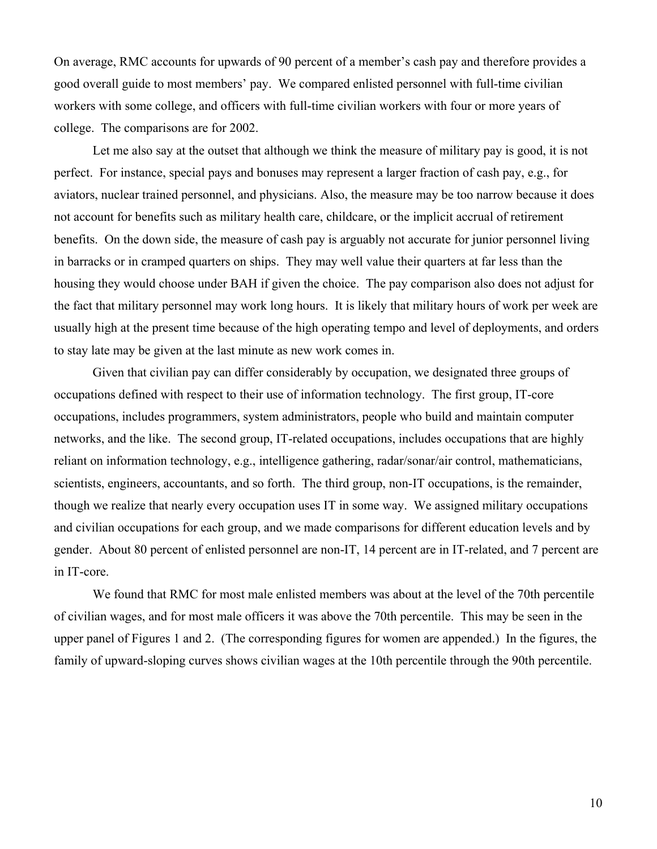On average, RMC accounts for upwards of 90 percent of a member's cash pay and therefore provides a good overall guide to most members' pay. We compared enlisted personnel with full-time civilian workers with some college, and officers with full-time civilian workers with four or more years of college. The comparisons are for 2002.

Let me also say at the outset that although we think the measure of military pay is good, it is not perfect. For instance, special pays and bonuses may represent a larger fraction of cash pay, e.g., for aviators, nuclear trained personnel, and physicians. Also, the measure may be too narrow because it does not account for benefits such as military health care, childcare, or the implicit accrual of retirement benefits. On the down side, the measure of cash pay is arguably not accurate for junior personnel living in barracks or in cramped quarters on ships. They may well value their quarters at far less than the housing they would choose under BAH if given the choice. The pay comparison also does not adjust for the fact that military personnel may work long hours. It is likely that military hours of work per week are usually high at the present time because of the high operating tempo and level of deployments, and orders to stay late may be given at the last minute as new work comes in.

Given that civilian pay can differ considerably by occupation, we designated three groups of occupations defined with respect to their use of information technology. The first group, IT-core occupations, includes programmers, system administrators, people who build and maintain computer networks, and the like. The second group, IT-related occupations, includes occupations that are highly reliant on information technology, e.g., intelligence gathering, radar/sonar/air control, mathematicians, scientists, engineers, accountants, and so forth. The third group, non-IT occupations, is the remainder, though we realize that nearly every occupation uses IT in some way. We assigned military occupations and civilian occupations for each group, and we made comparisons for different education levels and by gender. About 80 percent of enlisted personnel are non-IT, 14 percent are in IT-related, and 7 percent are in IT-core.

We found that RMC for most male enlisted members was about at the level of the 70th percentile of civilian wages, and for most male officers it was above the 70th percentile. This may be seen in the upper panel of Figures 1 and 2. (The corresponding figures for women are appended.) In the figures, the family of upward-sloping curves shows civilian wages at the 10th percentile through the 90th percentile.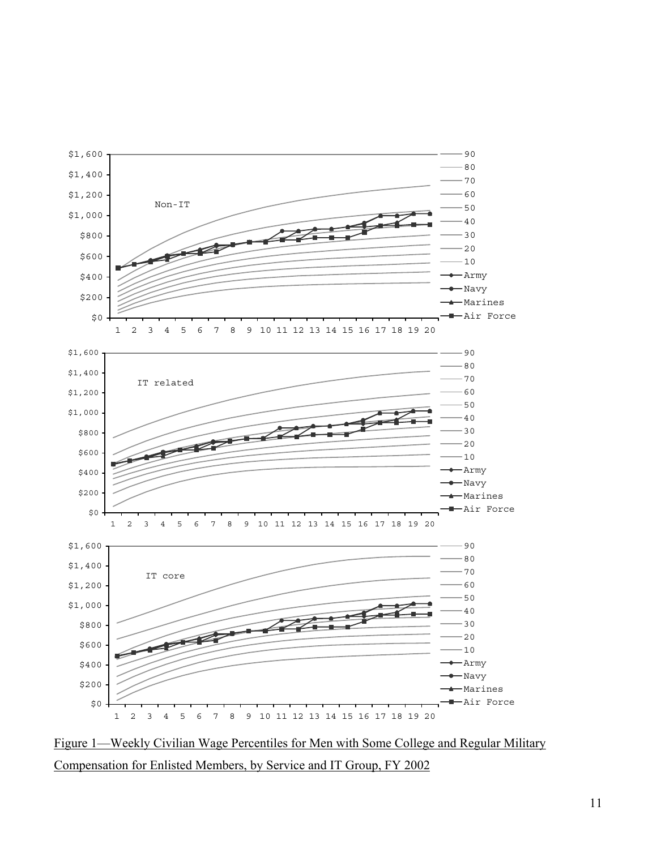

Figure 1—Weekly Civilian Wage Percentiles for Men with Some College and Regular Military Compensation for Enlisted Members, by Service and IT Group, FY 2002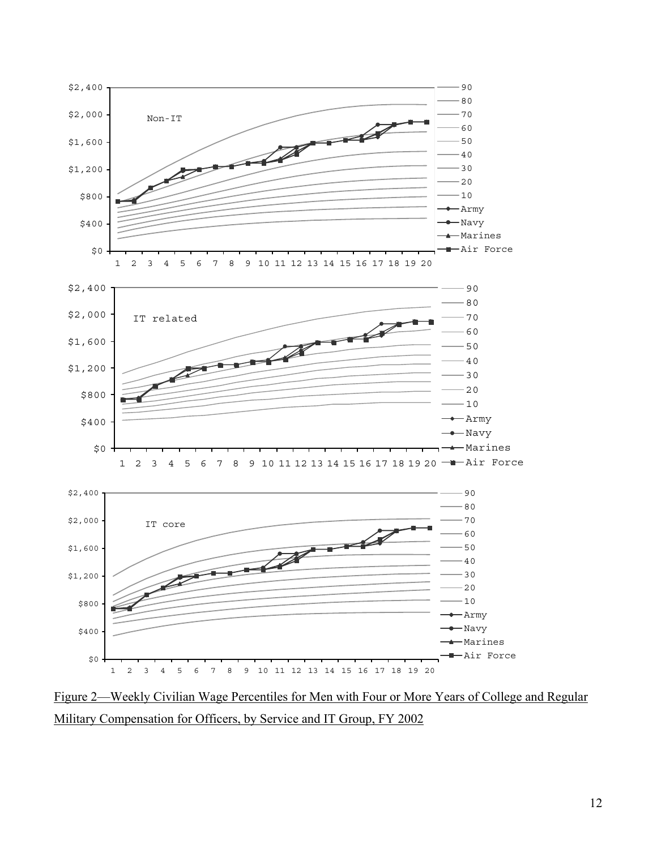

Figure 2—Weekly Civilian Wage Percentiles for Men with Four or More Years of College and Regular Military Compensation for Officers, by Service and IT Group, FY 2002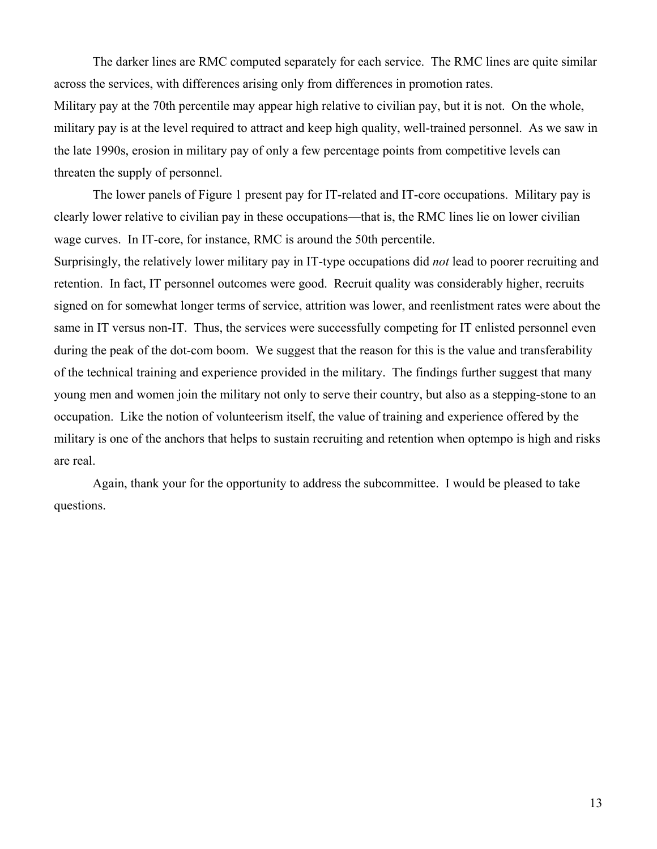The darker lines are RMC computed separately for each service. The RMC lines are quite similar across the services, with differences arising only from differences in promotion rates. Military pay at the 70th percentile may appear high relative to civilian pay, but it is not. On the whole, military pay is at the level required to attract and keep high quality, well-trained personnel. As we saw in the late 1990s, erosion in military pay of only a few percentage points from competitive levels can threaten the supply of personnel.

The lower panels of Figure 1 present pay for IT-related and IT-core occupations. Military pay is clearly lower relative to civilian pay in these occupations—that is, the RMC lines lie on lower civilian wage curves. In IT-core, for instance, RMC is around the 50th percentile.

Surprisingly, the relatively lower military pay in IT-type occupations did *not* lead to poorer recruiting and retention. In fact, IT personnel outcomes were good. Recruit quality was considerably higher, recruits signed on for somewhat longer terms of service, attrition was lower, and reenlistment rates were about the same in IT versus non-IT. Thus, the services were successfully competing for IT enlisted personnel even during the peak of the dot-com boom. We suggest that the reason for this is the value and transferability of the technical training and experience provided in the military. The findings further suggest that many young men and women join the military not only to serve their country, but also as a stepping-stone to an occupation. Like the notion of volunteerism itself, the value of training and experience offered by the military is one of the anchors that helps to sustain recruiting and retention when optempo is high and risks are real.

Again, thank your for the opportunity to address the subcommittee. I would be pleased to take questions.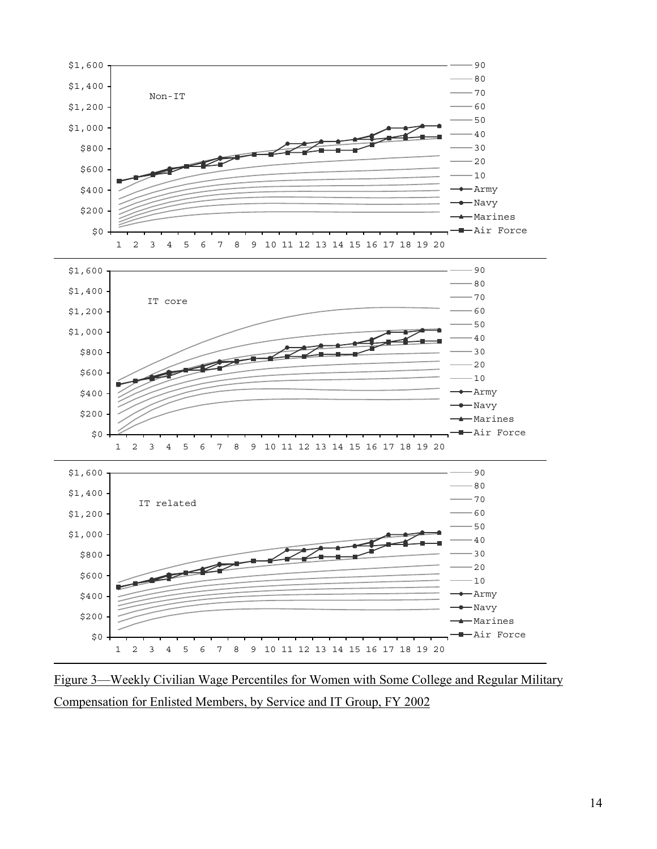

Figure 3—Weekly Civilian Wage Percentiles for Women with Some College and Regular Military Compensation for Enlisted Members, by Service and IT Group, FY 2002